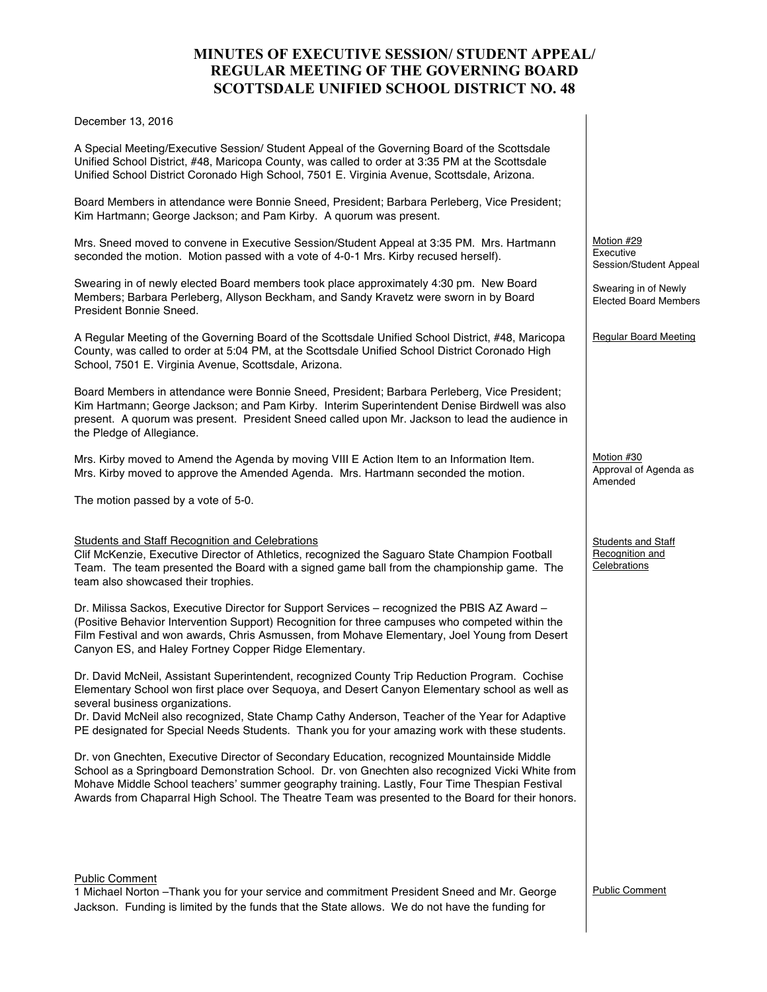# **MINUTES OF EXECUTIVE SESSION/ STUDENT APPEAL/ REGULAR MEETING OF THE GOVERNING BOARD SCOTTSDALE UNIFIED SCHOOL DISTRICT NO. 48**

#### December 13, 2016

A Special Meeting/Executive Session/ Student Appeal of the Governing Board of the Scottsdale Unified School District, #48, Maricopa County, was called to order at 3:35 PM at the Scottsdale Unified School District Coronado High School, 7501 E. Virginia Avenue, Scottsdale, Arizona.

Board Members in attendance were Bonnie Sneed, President; Barbara Perleberg, Vice President; Kim Hartmann; George Jackson; and Pam Kirby. A quorum was present.

Mrs. Sneed moved to convene in Executive Session/Student Appeal at 3:35 PM. Mrs. Hartmann seconded the motion. Motion passed with a vote of 4-0-1 Mrs. Kirby recused herself).

Swearing in of newly elected Board members took place approximately 4:30 pm. New Board Members; Barbara Perleberg, Allyson Beckham, and Sandy Kravetz were sworn in by Board President Bonnie Sneed.

A Regular Meeting of the Governing Board of the Scottsdale Unified School District, #48, Maricopa County, was called to order at 5:04 PM, at the Scottsdale Unified School District Coronado High School, 7501 E. Virginia Avenue, Scottsdale, Arizona.

Board Members in attendance were Bonnie Sneed, President; Barbara Perleberg, Vice President; Kim Hartmann; George Jackson; and Pam Kirby. Interim Superintendent Denise Birdwell was also present. A quorum was present. President Sneed called upon Mr. Jackson to lead the audience in the Pledge of Allegiance.

Mrs. Kirby moved to Amend the Agenda by moving VIII E Action Item to an Information Item. Mrs. Kirby moved to approve the Amended Agenda. Mrs. Hartmann seconded the motion.

The motion passed by a vote of 5-0.

## Students and Staff Recognition and Celebrations

Clif McKenzie, Executive Director of Athletics, recognized the Saguaro State Champion Football Team. The team presented the Board with a signed game ball from the championship game. The team also showcased their trophies.

Dr. Milissa Sackos, Executive Director for Support Services – recognized the PBIS AZ Award – (Positive Behavior Intervention Support) Recognition for three campuses who competed within the Film Festival and won awards, Chris Asmussen, from Mohave Elementary, Joel Young from Desert Canyon ES, and Haley Fortney Copper Ridge Elementary.

Dr. David McNeil, Assistant Superintendent, recognized County Trip Reduction Program. Cochise Elementary School won first place over Sequoya, and Desert Canyon Elementary school as well as several business organizations.

Dr. David McNeil also recognized, State Champ Cathy Anderson, Teacher of the Year for Adaptive PE designated for Special Needs Students. Thank you for your amazing work with these students.

Dr. von Gnechten, Executive Director of Secondary Education, recognized Mountainside Middle School as a Springboard Demonstration School. Dr. von Gnechten also recognized Vicki White from Mohave Middle School teachers' summer geography training. Lastly, Four Time Thespian Festival Awards from Chaparral High School. The Theatre Team was presented to the Board for their honors.

#### Public Comment

1 Michael Norton –Thank you for your service and commitment President Sneed and Mr. George Jackson. Funding is limited by the funds that the State allows. We do not have the funding for

Motion #29 Executive Session/Student Appeal

Swearing in of Newly Elected Board Members

Regular Board Meeting

Motion #30 Approval of Agenda as Amended

Students and Staff Recognition and **Celebrations** 

Public Comment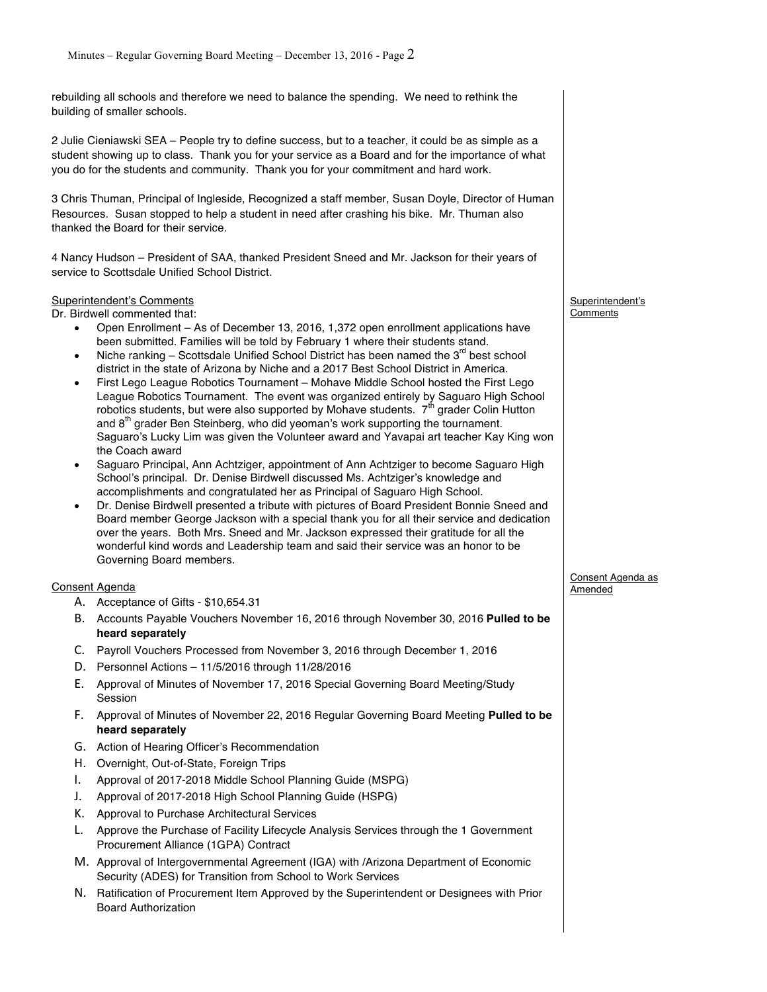rebuilding all schools and therefore we need to balance the spending. We need to rethink the building of smaller schools.

2 Julie Cieniawski SEA – People try to define success, but to a teacher, it could be as simple as a student showing up to class. Thank you for your service as a Board and for the importance of what you do for the students and community. Thank you for your commitment and hard work.

3 Chris Thuman, Principal of Ingleside, Recognized a staff member, Susan Doyle, Director of Human Resources. Susan stopped to help a student in need after crashing his bike. Mr. Thuman also thanked the Board for their service.

4 Nancy Hudson – President of SAA, thanked President Sneed and Mr. Jackson for their years of service to Scottsdale Unified School District.

## Superintendent's Comments

Dr. Birdwell commented that:

- Open Enrollment As of December 13, 2016, 1,372 open enrollment applications have been submitted. Families will be told by February 1 where their students stand.
- Niche ranking  $-$  Scottsdale Unified School District has been named the  $3<sup>rd</sup>$  best school district in the state of Arizona by Niche and a 2017 Best School District in America.
- First Lego League Robotics Tournament Mohave Middle School hosted the First Lego League Robotics Tournament. The event was organized entirely by Saguaro High School robotics students, but were also supported by Mohave students. 7<sup>th</sup> grader Colin Hutton and  $8<sup>th</sup>$  grader Ben Steinberg, who did yeoman's work supporting the tournament. Saguaro's Lucky Lim was given the Volunteer award and Yavapai art teacher Kay King won the Coach award
- Saguaro Principal, Ann Achtziger, appointment of Ann Achtziger to become Saguaro High School's principal. Dr. Denise Birdwell discussed Ms. Achtziger's knowledge and accomplishments and congratulated her as Principal of Saguaro High School.
- Dr. Denise Birdwell presented a tribute with pictures of Board President Bonnie Sneed and Board member George Jackson with a special thank you for all their service and dedication over the years. Both Mrs. Sneed and Mr. Jackson expressed their gratitude for all the wonderful kind words and Leadership team and said their service was an honor to be Governing Board members.

## Consent Agenda

- A. Acceptance of Gifts \$10,654.31
- B. Accounts Payable Vouchers November 16, 2016 through November 30, 2016 **Pulled to be heard separately**
- C. Payroll Vouchers Processed from November 3, 2016 through December 1, 2016
- D. Personnel Actions 11/5/2016 through 11/28/2016
- E. Approval of Minutes of November 17, 2016 Special Governing Board Meeting/Study Session
- F. Approval of Minutes of November 22, 2016 Regular Governing Board Meeting **Pulled to be heard separately**
- G. Action of Hearing Officer's Recommendation
- H. Overnight, Out-of-State, Foreign Trips
- I. Approval of 2017-2018 Middle School Planning Guide (MSPG)
- J. Approval of 2017-2018 High School Planning Guide (HSPG)
- K. Approval to Purchase Architectural Services
- L. Approve the Purchase of Facility Lifecycle Analysis Services through the 1 Government Procurement Alliance (1GPA) Contract
- M. Approval of Intergovernmental Agreement (IGA) with /Arizona Department of Economic Security (ADES) for Transition from School to Work Services
- N. Ratification of Procurement Item Approved by the Superintendent or Designees with Prior Board Authorization

Superintendent's Comments

Consent Agenda as Amended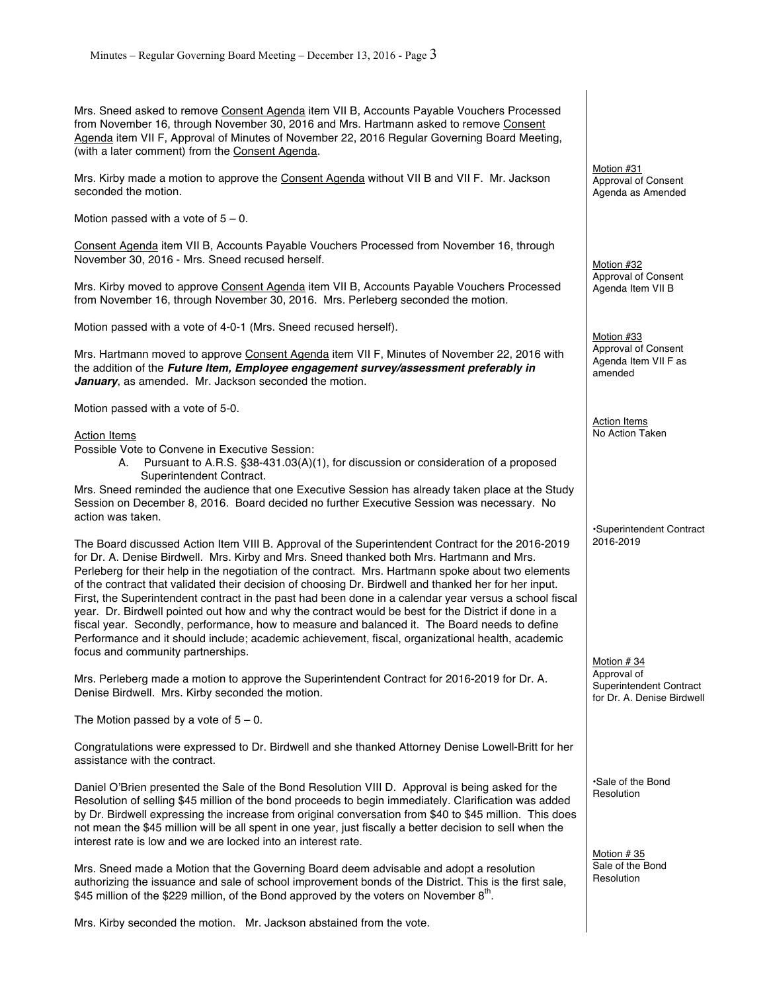Mrs. Sneed asked to remove Consent Agenda item VII B, Accounts Payable Vouchers Processed from November 16, through November 30, 2016 and Mrs. Hartmann asked to remove Consent Agenda item VII F, Approval of Minutes of November 22, 2016 Regular Governing Board Meeting, (with a later comment) from the Consent Agenda.

Mrs. Kirby made a motion to approve the Consent Agenda without VII B and VII F. Mr. Jackson seconded the motion.

Motion passed with a vote of  $5 - 0$ .

Consent Agenda item VII B, Accounts Payable Vouchers Processed from November 16, through November 30, 2016 - Mrs. Sneed recused herself.

Mrs. Kirby moved to approve Consent Agenda item VII B, Accounts Payable Vouchers Processed from November 16, through November 30, 2016. Mrs. Perleberg seconded the motion.

Motion passed with a vote of 4-0-1 (Mrs. Sneed recused herself).

Mrs. Hartmann moved to approve Consent Agenda item VII F, Minutes of November 22, 2016 with the addition of the *Future Item, Employee engagement survey/assessment preferably in January*, as amended. Mr. Jackson seconded the motion.

Motion passed with a vote of 5-0.

#### Action Items

Possible Vote to Convene in Executive Session:

A. Pursuant to A.R.S. §38-431.03(A)(1), for discussion or consideration of a proposed Superintendent Contract.

Mrs. Sneed reminded the audience that one Executive Session has already taken place at the Study Session on December 8, 2016. Board decided no further Executive Session was necessary. No action was taken.

The Board discussed Action Item VIII B. Approval of the Superintendent Contract for the 2016-2019 for Dr. A. Denise Birdwell. Mrs. Kirby and Mrs. Sneed thanked both Mrs. Hartmann and Mrs. Perleberg for their help in the negotiation of the contract. Mrs. Hartmann spoke about two elements of the contract that validated their decision of choosing Dr. Birdwell and thanked her for her input. First, the Superintendent contract in the past had been done in a calendar year versus a school fiscal year. Dr. Birdwell pointed out how and why the contract would be best for the District if done in a fiscal year. Secondly, performance, how to measure and balanced it. The Board needs to define Performance and it should include; academic achievement, fiscal, organizational health, academic focus and community partnerships.

Mrs. Perleberg made a motion to approve the Superintendent Contract for 2016-2019 for Dr. A. Denise Birdwell. Mrs. Kirby seconded the motion.

The Motion passed by a vote of  $5 - 0$ .

Congratulations were expressed to Dr. Birdwell and she thanked Attorney Denise Lowell-Britt for her assistance with the contract.

Daniel O'Brien presented the Sale of the Bond Resolution VIII D. Approval is being asked for the Resolution of selling \$45 million of the bond proceeds to begin immediately. Clarification was added by Dr. Birdwell expressing the increase from original conversation from \$40 to \$45 million. This does not mean the \$45 million will be all spent in one year, just fiscally a better decision to sell when the interest rate is low and we are locked into an interest rate.

Mrs. Sneed made a Motion that the Governing Board deem advisable and adopt a resolution authorizing the issuance and sale of school improvement bonds of the District. This is the first sale, \$45 million of the \$229 million, of the Bond approved by the voters on November  $8<sup>th</sup>$ .

Mrs. Kirby seconded the motion. Mr. Jackson abstained from the vote.

Motion #31 Approval of Consent Agenda as Amended

Motion #32 Approval of Consent Agenda Item VII B

Motion #33 Approval of Consent Agenda Item VII F as amended

Action Items No Action Taken

•Superintendent Contract 2016-2019

Motion # 34 Approval of Superintendent Contract for Dr. A. Denise Birdwell

•Sale of the Bond Resolution

Motion # 35 Sale of the Bond Resolution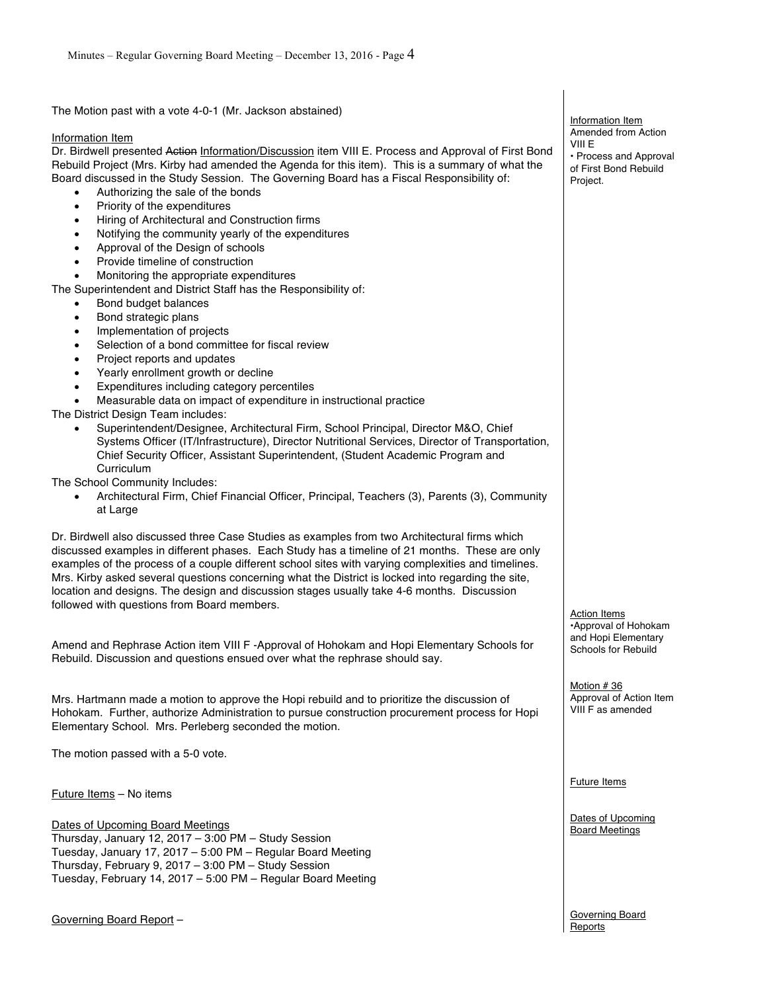The Motion past with a vote 4-0-1 (Mr. Jackson abstained)

### Information Item

Dr. Birdwell presented Action Information/Discussion item VIII E. Process and Approval of First Bond Rebuild Project (Mrs. Kirby had amended the Agenda for this item). This is a summary of what the Board discussed in the Study Session. The Governing Board has a Fiscal Responsibility of:

- Authorizing the sale of the bonds
- Priority of the expenditures
- Hiring of Architectural and Construction firms
- Notifying the community yearly of the expenditures
- Approval of the Design of schools
- Provide timeline of construction
- Monitoring the appropriate expenditures

The Superintendent and District Staff has the Responsibility of:

- Bond budget balances
- Bond strategic plans
- Implementation of projects
- Selection of a bond committee for fiscal review
- Project reports and updates
- Yearly enrollment growth or decline
- Expenditures including category percentiles
- Measurable data on impact of expenditure in instructional practice

The District Design Team includes:

• Superintendent/Designee, Architectural Firm, School Principal, Director M&O, Chief Systems Officer (IT/Infrastructure), Director Nutritional Services, Director of Transportation, Chief Security Officer, Assistant Superintendent, (Student Academic Program and Curriculum

The School Community Includes:

• Architectural Firm, Chief Financial Officer, Principal, Teachers (3), Parents (3), Community at Large

Dr. Birdwell also discussed three Case Studies as examples from two Architectural firms which discussed examples in different phases. Each Study has a timeline of 21 months. These are only examples of the process of a couple different school sites with varying complexities and timelines. Mrs. Kirby asked several questions concerning what the District is locked into regarding the site, location and designs. The design and discussion stages usually take 4-6 months. Discussion followed with questions from Board members.

Amend and Rephrase Action item VIII F -Approval of Hohokam and Hopi Elementary Schools for Rebuild. Discussion and questions ensued over what the rephrase should say.

Mrs. Hartmann made a motion to approve the Hopi rebuild and to prioritize the discussion of Hohokam. Further, authorize Administration to pursue construction procurement process for Hopi Elementary School. Mrs. Perleberg seconded the motion.

The motion passed with a 5-0 vote.

Future Items – No items

Dates of Upcoming Board Meetings Thursday, January 12, 2017 – 3:00 PM – Study Session Tuesday, January 17, 2017 – 5:00 PM – Regular Board Meeting Thursday, February 9, 2017 – 3:00 PM – Study Session Tuesday, February 14, 2017 – 5:00 PM – Regular Board Meeting

Governing Board Report –

Information Item Amended from Action VIII E • Process and Approval of First Bond Rebuild Project.

Action Items •Approval of Hohokam and Hopi Elementary Schools for Rebuild

Motion # 36 Approval of Action Item VIII F as amended

Future Items

Dates of Upcoming Board Meetings

Governing Board Reports